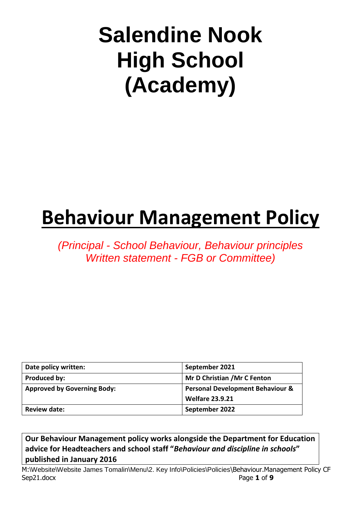# **Salendine Nook High School (Academy)**

## **Behaviour Management Policy**

*(Principal - School Behaviour, Behaviour principles Written statement - FGB or Committee)*

| Date policy written:               | September 2021                              |
|------------------------------------|---------------------------------------------|
| Produced by:                       | Mr D Christian / Mr C Fenton                |
| <b>Approved by Governing Body:</b> | <b>Personal Development Behaviour &amp;</b> |
|                                    | <b>Welfare 23.9.21</b>                      |
| <b>Review date:</b>                | September 2022                              |

**Our Behaviour Management policy works alongside the Department for Education advice for Headteachers and school staff "***Behaviour and discipline in schools***" published in January 2016**

M:\Website\Website James Tomalin\Menu\2. Key Info\Policies\Policies\Behaviour.Management Policy CF Sep21.docx Page 1 of 9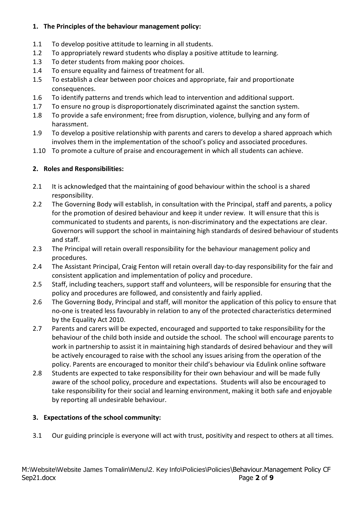#### **1. The Principles of the behaviour management policy:**

- 1.1 To develop positive attitude to learning in all students.
- 1.2 To appropriately reward students who display a positive attitude to learning.
- 1.3 To deter students from making poor choices.
- 1.4 To ensure equality and fairness of treatment for all.
- 1.5 To establish a clear between poor choices and appropriate, fair and proportionate consequences.
- 1.6 To identify patterns and trends which lead to intervention and additional support.
- 1.7 To ensure no group is disproportionately discriminated against the sanction system.
- 1.8 To provide a safe environment; free from disruption, violence, bullying and any form of harassment.
- 1.9 To develop a positive relationship with parents and carers to develop a shared approach which involves them in the implementation of the school's policy and associated procedures.
- 1.10 To promote a culture of praise and encouragement in which all students can achieve.

#### **2. Roles and Responsibilities:**

- 2.1 It is acknowledged that the maintaining of good behaviour within the school is a shared responsibility.
- 2.2 The Governing Body will establish, in consultation with the Principal, staff and parents, a policy for the promotion of desired behaviour and keep it under review. It will ensure that this is communicated to students and parents, is non-discriminatory and the expectations are clear. Governors will support the school in maintaining high standards of desired behaviour of students and staff.
- 2.3 The Principal will retain overall responsibility for the behaviour management policy and procedures.
- 2.4 The Assistant Principal, Craig Fenton will retain overall day-to-day responsibility for the fair and consistent application and implementation of policy and procedure.
- 2.5 Staff, including teachers, support staff and volunteers, will be responsible for ensuring that the policy and procedures are followed, and consistently and fairly applied.
- 2.6 The Governing Body, Principal and staff, will monitor the application of this policy to ensure that no-one is treated less favourably in relation to any of the protected characteristics determined by the Equality Act 2010.
- 2.7 Parents and carers will be expected, encouraged and supported to take responsibility for the behaviour of the child both inside and outside the school. The school will encourage parents to work in partnership to assist it in maintaining high standards of desired behaviour and they will be actively encouraged to raise with the school any issues arising from the operation of the policy. Parents are encouraged to monitor their child's behaviour via Edulink online software
- 2.8 Students are expected to take responsibility for their own behaviour and will be made fully aware of the school policy, procedure and expectations. Students will also be encouraged to take responsibility for their social and learning environment, making it both safe and enjoyable by reporting all undesirable behaviour.

#### **3. Expectations of the school community:**

3.1 Our guiding principle is everyone will act with trust, positivity and respect to others at all times.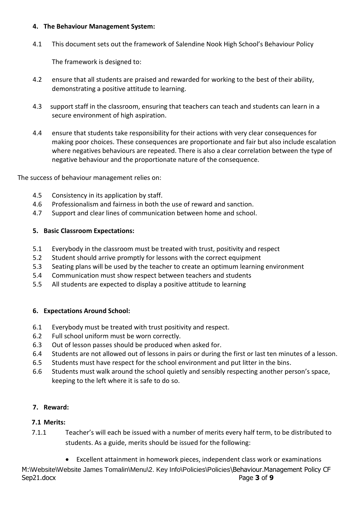#### **4. The Behaviour Management System:**

4.1 This document sets out the framework of Salendine Nook High School's Behaviour Policy

The framework is designed to:

- 4.2 ensure that all students are praised and rewarded for working to the best of their ability, demonstrating a positive attitude to learning.
- 4.3 support staff in the classroom, ensuring that teachers can teach and students can learn in a secure environment of high aspiration.
- 4.4 ensure that students take responsibility for their actions with very clear consequences for making poor choices. These consequences are proportionate and fair but also include escalation where negatives behaviours are repeated. There is also a clear correlation between the type of negative behaviour and the proportionate nature of the consequence.

The success of behaviour management relies on:

- 4.5 Consistency in its application by staff.
- 4.6 Professionalism and fairness in both the use of reward and sanction.
- 4.7 Support and clear lines of communication between home and school.

#### **5. Basic Classroom Expectations:**

- 5.1 Everybody in the classroom must be treated with trust, positivity and respect
- 5.2 Student should arrive promptly for lessons with the correct equipment
- 5.3 Seating plans will be used by the teacher to create an optimum learning environment
- 5.4 Communication must show respect between teachers and students
- 5.5 All students are expected to display a positive attitude to learning

#### **6. Expectations Around School:**

- 6.1 Everybody must be treated with trust positivity and respect.
- 6.2 Full school uniform must be worn correctly.
- 6.3 Out of lesson passes should be produced when asked for.
- 6.4 Students are not allowed out of lessons in pairs or during the first or last ten minutes of a lesson.
- 6.5 Students must have respect for the school environment and put litter in the bins.
- 6.6 Students must walk around the school quietly and sensibly respecting another person's space, keeping to the left where it is safe to do so.

#### **7. Reward:**

#### **7.1 Merits:**

 7.1.1 Teacher's will each be issued with a number of merits every half term, to be distributed to students. As a guide, merits should be issued for the following:

M:\Website\Website James Tomalin\Menu\2. Key Info\Policies\Policies\Behaviour.Management Policy CF Sep21.docx Page **3** of **9** • Excellent attainment in homework pieces, independent class work or examinations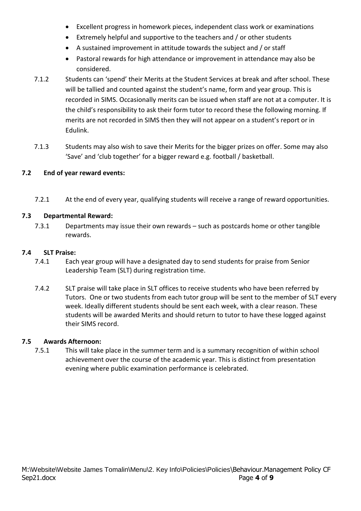- Excellent progress in homework pieces, independent class work or examinations
- Extremely helpful and supportive to the teachers and / or other students
- A sustained improvement in attitude towards the subject and / or staff
- Pastoral rewards for high attendance or improvement in attendance may also be considered.
- 7.1.2 Students can 'spend' their Merits at the Student Services at break and after school. These will be tallied and counted against the student's name, form and year group. This is recorded in SIMS. Occasionally merits can be issued when staff are not at a computer. It is the child's responsibility to ask their form tutor to record these the following morning. If merits are not recorded in SIMS then they will not appear on a student's report or in Edulink.
- 7.1.3 Students may also wish to save their Merits for the bigger prizes on offer. Some may also 'Save' and 'club together' for a bigger reward e.g. football / basketball.

#### **7.2 End of year reward events:**

7.2.1 At the end of every year, qualifying students will receive a range of reward opportunities.

#### **7.3 Departmental Reward:**

7.3.1 Departments may issue their own rewards – such as postcards home or other tangible rewards.

#### **7.4 SLT Praise:**

- 7.4.1 Each year group will have a designated day to send students for praise from Senior Leadership Team (SLT) during registration time.
- 7.4.2 SLT praise will take place in SLT offices to receive students who have been referred by Tutors. One or two students from each tutor group will be sent to the member of SLT every week. Ideally different students should be sent each week, with a clear reason. These students will be awarded Merits and should return to tutor to have these logged against their SIMS record.

#### **7.5 Awards Afternoon:**

7.5.1 This will take place in the summer term and is a summary recognition of within school achievement over the course of the academic year. This is distinct from presentation evening where public examination performance is celebrated.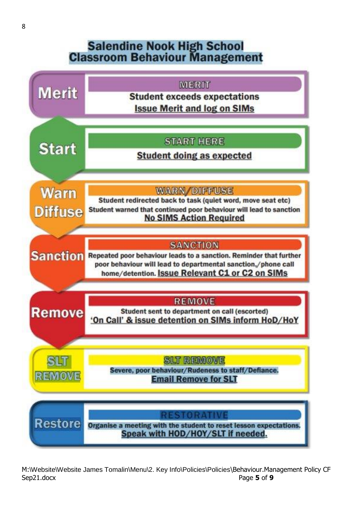### **Salendine Nook High School Classroom Behaviour Management**



M:\Website\Website James Tomalin\Menu\2. Key Info\Policies\Policies\Behaviour.Management Policy CF Sep21.docx Page 5 of 9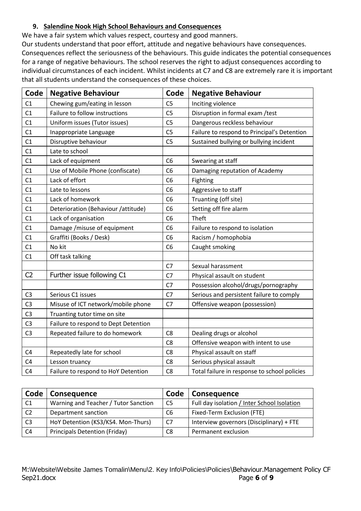#### **9. Salendine Nook High School Behaviours and Consequences**

We have a fair system which values respect, courtesy and good manners.

Our students understand that poor effort, attitude and negative behaviours have consequences. Consequences reflect the seriousness of the behaviours. This guide indicates the potential consequences for a range of negative behaviours. The school reserves the right to adjust consequences according to individual circumstances of each incident. Whilst incidents at C7 and C8 are extremely rare it is important that all students understand the consequences of these choices.

| Code           | <b>Negative Behaviour</b>            | Code           | <b>Negative Behaviour</b>                    |
|----------------|--------------------------------------|----------------|----------------------------------------------|
| C1             | Chewing gum/eating in lesson         | C <sub>5</sub> | Inciting violence                            |
| C1             | Failure to follow instructions       | C <sub>5</sub> | Disruption in formal exam / test             |
| C1             | Uniform issues (Tutor issues)        | C <sub>5</sub> | Dangerous reckless behaviour                 |
| C1             | Inappropriate Language               | C <sub>5</sub> | Failure to respond to Principal's Detention  |
| C1             | Disruptive behaviour                 | C <sub>5</sub> | Sustained bullying or bullying incident      |
| C1             | Late to school                       |                |                                              |
| C1             | Lack of equipment                    | C <sub>6</sub> | Swearing at staff                            |
| C1             | Use of Mobile Phone (confiscate)     | C <sub>6</sub> | Damaging reputation of Academy               |
| C1             | Lack of effort                       | C <sub>6</sub> | Fighting                                     |
| C1             | Late to lessons                      | C <sub>6</sub> | Aggressive to staff                          |
| C1             | Lack of homework                     | C <sub>6</sub> | Truanting (off site)                         |
| C1             | Deterioration (Behaviour /attitude)  | C <sub>6</sub> | Setting off fire alarm                       |
| C1             | Lack of organisation                 | C <sub>6</sub> | Theft                                        |
| C1             | Damage / misuse of equipment         | C <sub>6</sub> | Failure to respond to isolation              |
| C1             | Graffiti (Books / Desk)              | C <sub>6</sub> | Racism / homophobia                          |
| C1             | No kit                               | C <sub>6</sub> | Caught smoking                               |
| C1             | Off task talking                     |                |                                              |
|                |                                      | C7             | Sexual harassment                            |
| C <sub>2</sub> | Further issue following C1           | C <sub>7</sub> | Physical assault on student                  |
|                |                                      | C <sub>7</sub> | Possession alcohol/drugs/pornography         |
| C <sub>3</sub> | Serious C1 issues                    | C7             | Serious and persistent failure to comply     |
| C <sub>3</sub> | Misuse of ICT network/mobile phone   | C7             | Offensive weapon (possession)                |
| C <sub>3</sub> | Truanting tutor time on site         |                |                                              |
| C <sub>3</sub> | Failure to respond to Dept Detention |                |                                              |
| C <sub>3</sub> | Repeated failure to do homework      | C <sub>8</sub> | Dealing drugs or alcohol                     |
|                |                                      | C <sub>8</sub> | Offensive weapon with intent to use          |
| C <sub>4</sub> | Repeatedly late for school           | C <sub>8</sub> | Physical assault on staff                    |
| C <sub>4</sub> | Lesson truancy                       | C <sub>8</sub> | Serious physical assault                     |
| C <sub>4</sub> | Failure to respond to HoY Detention  | C <sub>8</sub> | Total failure in response to school policies |

|                | Code   Consequence                   | Code | <b>Consequence</b>                          |
|----------------|--------------------------------------|------|---------------------------------------------|
| C1             | Warning and Teacher / Tutor Sanction | C5   | Full day isolation / Inter School Isolation |
| C <sub>2</sub> | Department sanction                  | C6   | Fixed-Term Exclusion (FTE)                  |
| C3             | HoY Detention (KS3/KS4. Mon-Thurs)   | C7   | Interview governors (Disciplinary) + FTE    |
| C <sub>4</sub> | <b>Principals Detention (Friday)</b> | C8   | Permanent exclusion                         |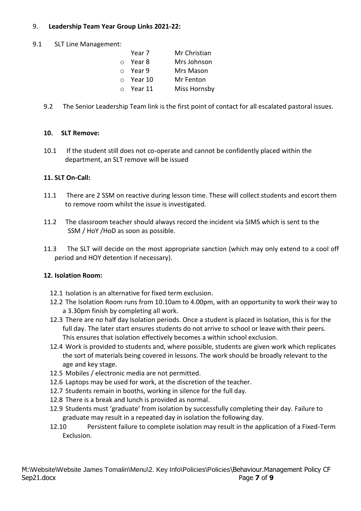#### 9. **Leadership Team Year Group Links 2021-22:**

#### 9.1 SLT Line Management:

| Year 7 | Mr Christian                                         |
|--------|------------------------------------------------------|
| Year 8 | Mrs Johnson                                          |
|        | Mrs Mason                                            |
|        | Mr Fenton                                            |
|        | Miss Hornsby                                         |
|        | $\circ$ Year 9<br>$\circ$ Year 10<br>$\circ$ Year 11 |

9.2 The Senior Leadership Team link is the first point of contact for all escalated pastoral issues.

#### **10. SLT Remove:**

10.1 If the student still does not co-operate and cannot be confidently placed within the department, an SLT remove will be issued

#### **11. SLT On-Call:**

- 11.1 There are 2 SSM on reactive during lesson time. These will collect students and escort them to remove room whilst the issue is investigated.
- 11.2 The classroom teacher should always record the incident via SIMS which is sent to the SSM / HoY /HoD as soon as possible.
- 11.3 The SLT will decide on the most appropriate sanction (which may only extend to a cool off period and HOY detention if necessary).

#### **12. Isolation Room:**

- 12.1 Isolation is an alternative for fixed term exclusion.
- 12.2 The Isolation Room runs from 10.10am to 4.00pm, with an opportunity to work their way to a 3.30pm finish by completing all work.
- 12.3 There are no half day Isolation periods. Once a student is placed in Isolation, this is for the full day. The later start ensures students do not arrive to school or leave with their peers. This ensures that isolation effectively becomes a within school exclusion.
- 12.4 Work is provided to students and, where possible, students are given work which replicates the sort of materials being covered in lessons. The work should be broadly relevant to the age and key stage.
- 12.5 Mobiles / electronic media are not permitted.
- 12.6 Laptops may be used for work, at the discretion of the teacher.
- 12.7 Students remain in booths, working in silence for the full day.
- 12.8 There is a break and lunch is provided as normal.
- 12.9 Students must 'graduate' from isolation by successfully completing their day. Failure to graduate may result in a repeated day in isolation the following day.
- 12.10 Persistent failure to complete isolation may result in the application of a Fixed-Term Exclusion.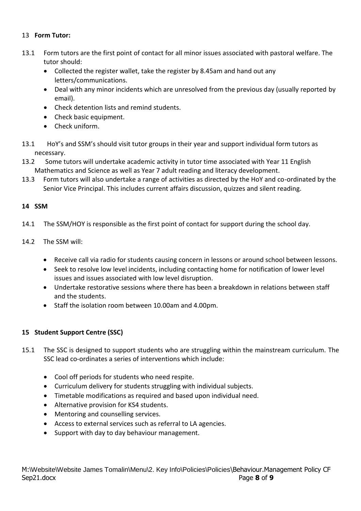#### 13 **Form Tutor:**

- 13.1 Form tutors are the first point of contact for all minor issues associated with pastoral welfare. The tutor should:
	- Collected the register wallet, take the register by 8.45am and hand out any letters/communications.
	- Deal with any minor incidents which are unresolved from the previous day (usually reported by email).
	- Check detention lists and remind students.
	- Check basic equipment.
	- Check uniform.
- 13.1 HoY's and SSM's should visit tutor groups in their year and support individual form tutors as necessary.
- 13.2 Some tutors will undertake academic activity in tutor time associated with Year 11 English Mathematics and Science as well as Year 7 adult reading and literacy development.
- 13.3 Form tutors will also undertake a range of activities as directed by the HoY and co-ordinated by the Senior Vice Principal. This includes current affairs discussion, quizzes and silent reading.

#### **14 SSM**

- 14.1 The SSM/HOY is responsible as the first point of contact for support during the school day.
- 14.2 The SSM will:
	- Receive call via radio for students causing concern in lessons or around school between lessons.
	- Seek to resolve low level incidents, including contacting home for notification of lower level issues and issues associated with low level disruption.
	- Undertake restorative sessions where there has been a breakdown in relations between staff and the students.
	- Staff the isolation room between 10.00am and 4.00pm.

#### **15 Student Support Centre (SSC)**

- 15.1 The SSC is designed to support students who are struggling within the mainstream curriculum. The SSC lead co-ordinates a series of interventions which include:
	- Cool off periods for students who need respite.
	- Curriculum delivery for students struggling with individual subjects.
	- Timetable modifications as required and based upon individual need.
	- Alternative provision for KS4 students.
	- Mentoring and counselling services.
	- Access to external services such as referral to LA agencies.
	- Support with day to day behaviour management.